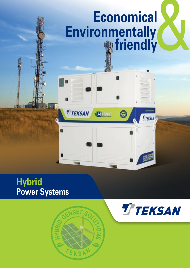# Economical<br>
onmentally<br> **w** friendly **Environmentally friendly**

A

σ

**HYBRID** 

## **Hybrid Power Systems**



 $\blacksquare$ 

п

**T TEKSAN** 

War



**T**TEKSAN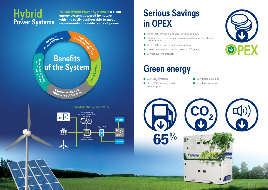## **Serious Savings in OPEX**

- $\blacksquare$  Up to 80% saving on generator running time,
- Service support at longer intervals and less technical staff requirement,
- Up to 65% saving in fuel consumption,
- Investment payback period down to 1.5 years,
- **Longer system lifespan.**

# **Green energy**



**Low noise emission, Low heat emission.** 









## **Hybrid Power Systems**

**Teksan Hybrid Power Systems is a clean energy system powered by nature, which is easily configurable to meet requirements in a wide range of power.**

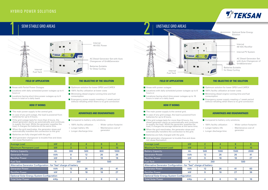| <b>Average Load</b>                                                | kW         | $\overline{2}$ | 4   | 6   | 8    |  |  |  |  |
|--------------------------------------------------------------------|------------|----------------|-----|-----|------|--|--|--|--|
| <b>Maximum Permanent Load</b>                                      | kW         | 3              | 5   | 8   | 10   |  |  |  |  |
| <b>Battery Capacity</b>                                            | Ah         | 300            | 500 | 800 | 1000 |  |  |  |  |
| <b>Generator Power</b>                                             | <b>kVA</b> | 8              | 12  | 26  | 26   |  |  |  |  |
| <b>Rectifier Power</b>                                             | kW         | 6              | 9   | 18  | 18   |  |  |  |  |
| <b>Fuel Tank</b>                                                   | It         |                | 250 | 500 |      |  |  |  |  |
| Alternative Generator Configuration - for "fast" charge of battery |            |                |     |     |      |  |  |  |  |
| <b>Generator Power</b>                                             | <b>kVA</b> | 12             | 26  | 26  | 41   |  |  |  |  |
| <b>Rectifier Power</b>                                             | kW         | 9              | 18  | 18  | 27   |  |  |  |  |
| <b>Optional Solar Energy System Configuration</b>                  |            |                |     |     |      |  |  |  |  |
| <b>Total Solar Power</b>                                           | kWp        | റ              | 4   | 6   | 8    |  |  |  |  |

SEMI STABLE GRID AREAS NEWSTABLE GRID AREAS 1 2

- **Areas with Partial Power Outages**
- **Locations with daily scheduled power outages up to 4** hours or
- **Locations having short-time power outages up to 8** hours in total on a daily basis

| <b>Average Load</b>                                                | kW         | $\overline{2}$ | 4    | 6    | 8    |  |  |  |
|--------------------------------------------------------------------|------------|----------------|------|------|------|--|--|--|
| <b>Maximum Permanent Load</b>                                      | <b>kW</b>  | 3              | 5    | 8    | 10   |  |  |  |
| <b>Battery Capacity</b>                                            | Ah         | 500            | 1000 | 1500 | 2000 |  |  |  |
| Generator Power                                                    | <b>kVA</b> | 12             | 26   | 26   | 41   |  |  |  |
| <b>Rectifier Power</b>                                             | kW         | 9              | 18   | 18   | 27   |  |  |  |
| <b>Fuel Tank</b>                                                   | It         |                | 250  | 500  |      |  |  |  |
| Alternative Generator Configuration - for "fast" charge of battery |            |                |      |      |      |  |  |  |
| Generator Power                                                    | <b>kVA</b> | 12             | 26   | 41   | 60   |  |  |  |
| <b>Rectifier Power</b>                                             | kW         | 9              | 18   | 27   | 36   |  |  |  |
| <b>Optional Solar Energy System Configuration</b>                  |            |                |      |      |      |  |  |  |
| <b>Total Solar Power</b>                                           | kWp        | 4              | 6    | 10   | 16   |  |  |  |

- 
- -
	-



- **Areas with power outages**
- **Locations with daily scheduled power outages up to 8** hours or
- $\blacksquare$  Locations having short-time power outages up to 16 hours in total on a daily basis

Internal Fuel Tank

## **HOW IT WORKS HOW IT WORKS**

#### **ADVANTAGES AND DISADVANTAGES**

- $\blacksquare$  The main power supply is the central grid.
- $\blacksquare$  In case of any grid outage, the load is powered from batteries for up to 4 hours.
- $\blacksquare$  If the grid outage lasts for more than 4 hours, the diesel generator starts up automatically and continues to supply the load. While the generator supplies the load, it charges the batteries at the same time.
- When the grid reactivates, the generator stops and automatically transfers the connection to the grid.
- $\blacksquare$  Batteries are fully charged with the grid.
- Grid generator changeover is trouble-free and does not cause fluctuation.

#### **FIELD OF APPLICATION FIELD OF APPLICATION**

- $\blacksquare$  The main power supply is the central grid.
- In case of any grid outage, the load is powered from batteries for up to 8 hours.
- Compared to battery-only solutions; example and the grid outage lasts for more than 8 hours, the **Compared to battery-only solutions**; diesel generator starts up automatically and continues to supply the load. While the generator supplies the load, it charges the storage batteries at the same time.
	- When the grid reactivates, the generator stops and automatically transfers the connection to the grid.
	- $\blacksquare$  Batteries are fully charged with the grid.
	- Grid generator changeover is trouble-free and does not cause fluctuation.
- Optimum solution for lower OPEX and CAPEX
- 100% facility utilization at lower costs
- **Minimizing diesel engine running time and fuel** consumption
- **Emergency power supply meeting a 1-week period** without refueling when there is no grid connection
- **Optimum solution for lower OPEX and CAPEX**
- 100% facility utilization at lower costs
- **Minimizing diesel engine running time and fuel** consumption
- **Emergency power supply meeting a 1-week period** without refueling when there is no grid connection

### **THE OBJECTIVE OF THE SOLUTION THE OBJECTIVE OF THE SOLUTION**

- 
- + 100% facility utilization - Wider carbon footprint
- + Longer battery life
	-
- Maintenance cost of
- + Longer discharge time generator



- 
- + 100% facility utilization
- + Longer battery life
- Wider carbon footprint
- Maintenance cost of generator
- + Longer discharge time

#### **ADVANTAGES AND DISADVANTAGES**



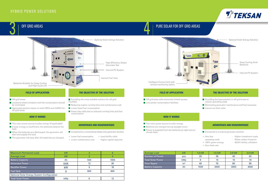

- Off grid areas
- **Locations where emission and fuel consumption should** be minimized
- Optimized solution based on both OPEX and CAPEX for off grid areas
- $\blacksquare$  Providing the most suitable solution for off grid Facilities
- Reducing engine running time and maintenance cost
- **Lower fossil fuel consumption**
- $\blacksquare$  Fewer site visits due to reduced running time and fuel consumption

- Compared to a conventional diesel-only generator solution
- + Lower fuel consumption + Less facility visits
- + Lower maintenance cost Higher capital expense

Deep Cycling Solar **Batteries** 

| <b>Maximum Permanent Load</b>                     | kW         |     |      |  |  |  |  |  |  |
|---------------------------------------------------|------------|-----|------|--|--|--|--|--|--|
| <b>Average Load</b>                               | kW         |     |      |  |  |  |  |  |  |
| <b>Battery Capacity</b>                           | Ah         | 500 | 1000 |  |  |  |  |  |  |
| Generator Power                                   | <b>kVA</b> | 12  | 26   |  |  |  |  |  |  |
| <b>Rectifier Power</b>                            | kW         | 9   | 18   |  |  |  |  |  |  |
| <b>Fuel Tank</b>                                  |            | 800 | 800  |  |  |  |  |  |  |
| <b>Optional Solar Energy System Configuration</b> |            |     |      |  |  |  |  |  |  |
| <b>Total Solar Power</b>                          | kWp        |     |      |  |  |  |  |  |  |

- + Very low
- operating costs

+ 100% green energy

- Higher investment costs
- Wider carbon footprint
- 99,8% facility utilization
- + Zero field visit

| <b>Average Load</b>      | kW             | $1.0$ kW | 1,5 kW | 2,0 kW | 2,5 kW |
|--------------------------|----------------|----------|--------|--------|--------|
| Number of Panels         | pcs            | 20       | 35     | 40     | 45     |
| <b>Total Solar Power</b> | kWp            |          | 14     | 16     | 18     |
| <b>Floor Space</b>       | m <sup>2</sup> | 40       | 70     | 80     | 90     |
| <b>Battery Capacity</b>  | Ah             | 1500     | 2000   | 3000   | 4000   |





- Off grid sites with extremely limited access
- **Low power consumption facilities**



and High Cycle Life

Internal PV System

#### **HOW IT WORKS**

- $\blacksquare$  The main power source is solar energy
- **Batteries are charged during daylight hours**
- **P** Power is supplied from the batteries at night and on cloudy days

#### **FIELD OF APPLICATION THE OBJECTIVE OF THE SOLUTION**

- $\blacksquare$  Providing the best solution in off grid areas to reduce operating costs
- **E** Eliminating generator maintenance and fuel expenses
- **Cancel out field visits**

### **ADVANTAGES AND DISADVANTAGES**

 $\blacksquare$  Compared to a hybrid generator solution

### **HOW IT WORKS**

- $\blacksquare$  The main power source is solar energy (if applicable)
- $\blacksquare$  If solar energy is insufficient, the batteries balance the load.
- When the batteries are discharged, the generator will start and supply the load.
- $\blacksquare$  The generator will stop after the batteries are charged.

#### **ADVANTAGES AND DISADVANTAGES**

#### **FIELD OF APPLICATION THE OBJECTIVE OF THE SOLUTION**

## HYBRID POWER SOLUTIONS

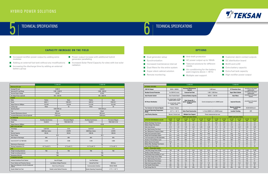- Increased rectifier power output by adding extra modules
- **Adding an external fuel tank without any modifications**
- Increasing the discharge time by adding an external battery group
- $\blacksquare$  Power output increase with additional hybrid generator paralleling
- **Increased Solar Panel Capacity for sites with low solar** radiation
- **Anti-theft protection**
- AC power output up to 10kVA
	-
	- Air-conditioning for the battery
		-
- **Customer alarm contact outputs**
- DC distribution board
- **BLVD** and LLVD
- **EXtra battery capacity**
- **Extra fuel tank capacity**
- $\blacksquare$  High rectifier power output

### **CAPACITY INCREASE ON THE FIELD**



- **Dual generator setup**
- Synchronization
- Increased maintenance interval
- $\blacksquare$  Dust filters for the entire system
- Super silent cabinet solution
- $\blacksquare$  Remote monitoring
- Tailored solutions for different needs
- pack (regions above + 45°C) **Multiple user support**

|                                                    | TJ 3000 HD     |                                                                                                                                                                                                         |                           |                                          |                      |                                    | TJ 6000 HD          |                                |                                      |                                          |                |                |
|----------------------------------------------------|----------------|---------------------------------------------------------------------------------------------------------------------------------------------------------------------------------------------------------|---------------------------|------------------------------------------|----------------------|------------------------------------|---------------------|--------------------------------|--------------------------------------|------------------------------------------|----------------|----------------|
| <b>OPTIONAL FEATURES</b>                           |                |                                                                                                                                                                                                         |                           |                                          |                      |                                    |                     |                                |                                      |                                          |                |                |
| 230V AC Output                                     |                | 350VA - 3000VA                                                                                                                                                                                          |                           | <b>Increased Maintenance</b><br>Interval |                      | 1.000 hours                        |                     | <b>IP Protection Class</b>     |                                      | according to the project<br>requirements |                |                |
| <b>Residual Current Protection</b>                 |                | For 230V AC circuit                                                                                                                                                                                     |                           | <b>External Fuel Tank</b>                | 1.000 - 2.000 liters |                                    |                     | <b>Super Silent Cabinet</b>    |                                      | according to the project<br>requirements |                |                |
| <b>Auto-Transfer Switch</b>                        |                | <b>Auto-Transfer Board</b>                                                                                                                                                                              |                           | <b>External Battery Capacity</b>         | 500 Ah - 1.000 Ah    |                                    | <b>Dust Filters</b> |                                | according to the project<br>location |                                          |                |                |
| <b>DC Power Distribution</b>                       |                | For critical loads: 2x125A.<br>2x64A,4x32A, 2x16A<br>Solar Energy Kit -1<br>(panel, charge regulator,<br>Can be increased up to 4 x 3200W power<br>For normal loads: 2x64A.<br>fusebox)<br>4x32A, 2x16A |                           |                                          |                      |                                    |                     |                                | improved Security                    | according to the project<br>location     |                |                |
| <b>Free Contacts for External Signals</b>          |                | 8 Inputs / Outputs                                                                                                                                                                                      |                           |                                          |                      |                                    |                     | Remote monitoring /<br>Control |                                      | 2G/3G/4G/Ethernet                        |                |                |
| <b>Increased Operating Temperature</b><br>Range    |                | $-20 °C + 55 °C$                                                                                                                                                                                        |                           | <b>Solar Panel Construction</b>          |                      | 1 x From 3200W to 4 x 3200VV power |                     |                                |                                      | <b>Location Tracking</b>                 | <b>GPS</b>     |                |
| <b>Load Priority Selection</b>                     |                | Normal / Critical Load                                                                                                                                                                                  |                           | <b>Multiple User Support</b>             |                      | Power measurement per user         |                     |                                |                                      |                                          |                |                |
|                                                    |                |                                                                                                                                                                                                         | 500Ah Lead Carbon Battery |                                          |                      |                                    |                     |                                | 1.000Ah Lead Carbon Battery          |                                          |                |                |
| <b>EXPECTED PERFORMANCE VALUES</b>                 | 0.5kW<br>load  | 1,0 kW<br>load                                                                                                                                                                                          | 1.5 kW<br>load            | 2.0 kW<br>load                           | 2,5 kW<br>load       | 3.0 kW<br>load                     | 1,0 kW<br>load      | 2,0 kW<br>load                 | 3,0 kW<br>load                       | 4.0 kW<br>load                           | 5.0 kW<br>load | 6.0 kW<br>load |
| <b>Battery Discharge Time (hours)</b>              | 28,8           | 14,4                                                                                                                                                                                                    | 9,6                       | 7,2                                      | 5,8                  | 4,8                                | 28,8                | 14,4                           | 9,6                                  | 7,2                                      | 5,8            | 4,8            |
| <b>Battery Charge Time (hours)</b>                 | 3,5            | 3,5                                                                                                                                                                                                     | 3,5                       | 3,5                                      | 3,5                  | 3,5                                | 3.5                 | 3,5                            | 3.5                                  | 3,5                                      | 3,5            | 3,5            |
| Daily Cycle Amount                                 | 0.74           | 1,34                                                                                                                                                                                                    | 1,83                      | 2.24                                     | 2.59                 | 2.89                               | 0.74                | 1,34                           | 1.83                                 | 2.24                                     | 2.59           | 2.89           |
| Gen. Daily Running Time (hour)                     | 2,6            | 4,7                                                                                                                                                                                                     | 6,4                       | 7,9                                      | 9,1                  | 10.1                               | 2.6                 | 4,7                            | 6.4                                  | 7.9                                      | 9.1            | 10.1           |
| Gen. Maintenance Frequency (days)                  | 192            | 107                                                                                                                                                                                                     | 78                        | 64                                       | 55                   | 49                                 | 192                 | 107                            | 78                                   | 64                                       | 55             | 49             |
| <b>Daily Fuel Consumption (liters)</b>             | 5.1            | 10                                                                                                                                                                                                      | 14.9                      | 19,6                                     | 24.2                 | 28,8                               | 9.0                 | 17.7                           | 26.2                                 | 34,5                                     | 42.7           | 50.8           |
| <b>Hourly Fuel Consumption (liters)</b>            | 0.21           | 0.42                                                                                                                                                                                                    | 0.62                      | 0.82                                     | 1.01                 | 1.2                                | 0.37                | 0.74                           | 1.09                                 | 1.44                                     | 1.78           | 2.12           |
| Fuel Consumption per kWh [liter/kWh]               | 0,43           | 0,42                                                                                                                                                                                                    | 0,41                      | 0,41                                     | 0,40                 | 0,40                               | 0,37                | 0,37                           | 0.36                                 | 0,36                                     | 0,36           | 0,35           |
| Number of Annual Battery Cycle                     | 271            | 489                                                                                                                                                                                                     | 669                       | 819                                      | 946                  | 1055                               | 271                 | 489                            | 669                                  | 819                                      | 946            | 1055           |
| <b>Battery Service Life (years)</b>                | 16,6           | 9                                                                                                                                                                                                       | 6,7                       | 5,5                                      | 4,8                  | 4,3                                | 16,6                | 9                              | 6,7                                  | 5,5                                      | 4,8            | 4,3            |
| Battery Max. Discharge Time (hours)                | 48             | 24                                                                                                                                                                                                      | 16                        | 12                                       | 9,6                  | 8                                  | 48                  | 24                             | 16                                   | 12                                       | 9,6            | 8              |
| <b>Fuel Transfer Period (davs)</b>                 | 156            | 80                                                                                                                                                                                                      | 53                        | 40                                       | 33                   | 27                                 | 88                  | 45                             | 30                                   | 23                                       | 23             | 20             |
| Hybrid + Photovoltaic System                       |                |                                                                                                                                                                                                         |                           |                                          |                      |                                    |                     |                                |                                      |                                          |                |                |
| Total Solar Energy Power (kWp)                     | 1,96           | 1,96                                                                                                                                                                                                    | 3.27                      | 6.54                                     | 6.54                 | 6.54                               | 1.96                | 3.27                           | 6.54                                 | 9.81                                     | 13.08          | 13.08          |
| Number of Solar Panels (pcs)                       | $6\phantom{1}$ | $6\phantom{1}$                                                                                                                                                                                          | 10                        | 20                                       | 20                   | 20                                 | 6                   | 10                             | 20                                   | 30                                       | 40             | 40             |
| Panel Surface Area including 15° (m <sup>2</sup> ) | 9,4            | 9,4                                                                                                                                                                                                     | 15,7                      | 31,5                                     | 31,5                 | 31,5                               | 9,4                 | 15,7                           | 31,5                                 | 47,2                                     | 62,9           | 62,9           |
| <b>Total Solar Charger Power (kWp)</b>             | 2,0            | 2,0                                                                                                                                                                                                     | 3,4                       | 6,9                                      | 6,9                  | 6,9                                | 2,0                 | 3,4                            | 6,9                                  | 10,3                                     | 13,8           | 13,8           |
| Gen. Daily Running Time (hour)                     | 0,8            | 3,0                                                                                                                                                                                                     | 3,9                       | 3,3                                      | 4,8                  | 6,1                                | 1,7                 | 3,3                            | 3,9                                  | 4,4                                      | 4,8            | 6,1            |
| Gen. Maintenance Period (days)                     | 180            | 164                                                                                                                                                                                                     | 129                       | 154                                      | 104                  | 81                                 | 297                 | 151                            | 129                                  | 113                                      | 104            | 81             |
| Daily Fuel Consumption (liters)                    | 1,5            | 6,5                                                                                                                                                                                                     | 9,1                       | 8,1                                      | 12,8                 | 17,5                               | 5,8                 | 12,5                           | 15,9                                 | 19,3                                     | 22,6           | 30,9           |
| <b>Fuel Transfer Period (days)</b>                 | 533            | 123                                                                                                                                                                                                     | 87                        | 98                                       | 62                   | 45                                 | 137                 | 64                             | 50                                   | 41                                       | 35             | 25             |
| Solar Energy Rate (%)                              | 71%            | 35%                                                                                                                                                                                                     | 39%                       | 59%                                      | 47%                  | 39%                                | 35%                 | 29%                            | 39%                                  | 44%                                      | 47%            | 39%            |
|                                                    |                |                                                                                                                                                                                                         |                           |                                          |                      |                                    |                     |                                |                                      |                                          |                |                |



|                                                        | TJ 3000 HD                       |                              |                                 |                  |                  | TJ 6000 HD                       |                  |  |  |
|--------------------------------------------------------|----------------------------------|------------------------------|---------------------------------|------------------|------------------|----------------------------------|------------------|--|--|
| <b>Maximum DC Load</b>                                 |                                  |                              |                                 |                  |                  |                                  |                  |  |  |
| Average DC Load                                        |                                  | 3.000 W                      |                                 | 6.000 W          |                  |                                  |                  |  |  |
| <b>Optimized DC Load Range</b>                         |                                  | $1.000 - 2.000 W$            |                                 | $2.000 - 4000 W$ |                  |                                  |                  |  |  |
| <b>Nominal Output Voltage</b>                          |                                  | 48 VDC                       |                                 |                  | 48 VDC           |                                  |                  |  |  |
| AC Output Power (optional)                             |                                  | 350 - 1250 VA                |                                 |                  | 800 - 3000 VA    |                                  |                  |  |  |
| <b>ENGINE</b>                                          |                                  |                              |                                 |                  |                  |                                  |                  |  |  |
| Make                                                   |                                  | Perkins                      | Deutz                           |                  |                  | Perkins                          | Deutz            |  |  |
| Model                                                  |                                  | 403D-11                      | F2M-2011                        |                  |                  | 404D-22                          | F3M-2011         |  |  |
| Output Power at 1800rpm                                |                                  | 10,3 kW                      | 15,0 kW                         |                  |                  | 21,6 kW                          | 23,3 kW          |  |  |
| <b>Cooling Type</b>                                    |                                  | Water                        | Oil                             |                  |                  | Oil<br>Water                     |                  |  |  |
| <b>Operating Speed</b>                                 |                                  | 1200-2200 rpm                |                                 |                  |                  | 1200-2200 rpm                    |                  |  |  |
| Fuel                                                   |                                  | <b>Diesel</b>                |                                 |                  |                  | <b>Diesel</b>                    |                  |  |  |
| <b>Standard Maintenance Interval</b>                   |                                  | 500 hours                    |                                 |                  |                  | 500 hours                        |                  |  |  |
| Increased Maintenance Interval (optional)              |                                  | 1.000 hours                  |                                 |                  |                  | 1.000 hours                      |                  |  |  |
| <b>ALTERNATOR</b>                                      |                                  |                              |                                 |                  |                  |                                  |                  |  |  |
| Technology                                             |                                  | <b>Brushless Synchronous</b> | Permanent-Magnet                |                  |                  | <b>Brushless Synchronous</b>     | Permanent-Magnet |  |  |
| Model                                                  |                                  | <b>TAL040 D</b>              | PMG140K/18-90                   |                  |                  | <b>TAL040 F</b>                  | PMG140K/18-180   |  |  |
| Output Power at 1800rpm                                |                                  | 9 kW                         |                                 |                  | 18 kW            |                                  |                  |  |  |
| <b>DEEP CYCLE BATTERY</b>                              |                                  |                              |                                 |                  |                  |                                  |                  |  |  |
| Technology                                             |                                  | <b>Lead Acid</b><br>Li-Ion   |                                 |                  | <b>Lead Acid</b> | Li-Ion                           |                  |  |  |
| Type                                                   |                                  | <b>AGM Nano Carbon</b>       | LiFeP04                         |                  |                  | <b>AGM Nano Carbon</b>           | LiFeP04          |  |  |
| <b>Nominal Capacity</b>                                |                                  | 500 Ah                       | 500 Ah                          |                  |                  | 1000 Ah                          | 1000 Ah          |  |  |
| <b>Rated Voltage</b>                                   |                                  | 48 V                         |                                 |                  |                  | 48 V                             |                  |  |  |
| DoD (Depth of Discharge)                               |                                  | 80%                          | 80%                             |                  |                  | 80%                              | 80%              |  |  |
| Cycle Life (25 "C @ %80 DoD)                           |                                  | 3.200                        | 4.000                           |                  | 3.200            |                                  | 4.000            |  |  |
| <b>Maintenance Requirement</b>                         |                                  | No                           |                                 |                  |                  | No                               |                  |  |  |
| Running Temperature (°C)                               | -15 °C to 45 °C<br>0 °C to 45 °C |                              |                                 |                  |                  | -15 °C to 45 °C<br>0 °C to 45 °C |                  |  |  |
| <b>SIZE</b>                                            |                                  |                              |                                 |                  |                  |                                  |                  |  |  |
|                                                        |                                  |                              |                                 |                  |                  |                                  |                  |  |  |
| Weight (including batteries)                           |                                  | <b>TBA</b>                   | <b>TBA</b>                      |                  |                  | <b>TBA</b>                       | <b>TBA</b>       |  |  |
| Weight (excluding batteries)                           |                                  | <b>TBA</b>                   |                                 |                  |                  | <b>TBA</b>                       |                  |  |  |
| Dimensions (WxLxH)                                     |                                  | <b>TBA</b>                   |                                 |                  |                  | <b>TBA</b>                       |                  |  |  |
| <b>STANDARD FEATURES</b>                               |                                  |                              |                                 |                  |                  |                                  |                  |  |  |
| <b>Ambient Conditions-Proof Cabinet</b>                | $\bullet$                        |                              | Auto Oil Supply                 | $\bullet$        |                  | <b>Fuel Theft Alarm</b>          |                  |  |  |
| <b>Power Cabinet and Protection Devices</b>            | $\bullet$                        |                              | Low Battery Voltage Protection  | $\bullet$        |                  | <b>Internal Fuel Tank</b>        | 800 litres       |  |  |
| Deep Cycle Batteries in the Air-Conditioned<br>Cabinet | $\bullet$                        |                              | <b>Short Circuit Protection</b> | $\bullet$        |                  | <b>Communication Interface</b>   | RS232/RS485      |  |  |





# $\overline{\textbf{5}}$   $\vert$  technical specifications  $\textbf{6}$   $\vert$  technical specifications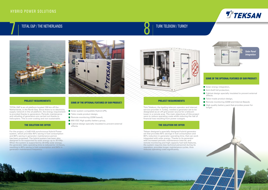#### **PROJECT REQUIREMENTS**

Türk Telekom, the leading telecom operator and internet service provider in Turkey, needed a generator set to be designated as an off-grid power source for a telecom tower in a remote area. The main objectives of this project were to reduce operating costs while reducing the risk of financial loss resulting from power outages.

- Solar energy integration,
- **Anti-theft full protection,**
- Cabinet design specially insulated to prevent external effects.
- Tailor-made product design,
- Remote monitoring (GSM and Internet Based),
- $\blacksquare$  High quality battery pack that provides power for longer.

#### **SOME OF THE OPTIONAL FEATURES OF OUR PRODUCT:**

#### **THE SOLUTION WE OFFER**



## **PROJECT REQUIREMENTS SOME OF THE OPTIONAL FEATURES OF OUR PRODUCT:**

- Solar system compatible Hybrid UPS,
- Tailor-made product design,
- Remote monitoring (GSM based),
- 800 VDC High quality battery group,
- Cabinet design specially insulated to prevent external effects.



For the project, a 2x82 kVA synchronous Hybrid Power system, which provides 40% saving in fuel consumption and 80% saving in generator maintenance period, has been proposed. The hybrid system has been also designed to be supported by solar energy up to 30 kWp. When the system is supported by 30 kWp solar energy, the generator daily operating time is reduced to 1.4 hours, resulting in 85% saving in fuel consumption and 94% in generator maintenance frequency.



TOTAL E&P is an oil platform located 100 km off the Netherlands, in the North Sea. Since there is no electricity supply network in the oil platform, the energy requirement is provided thanks to generators. Periodic maintenance and refueling of generators are carried out thanks to helicopters. This is over-costing and non-sustainable.

#### **THE SOLUTION WE OFFER**

## HYBRID POWER SOLUTIONS

# $\sum_{i=1}^{\infty}$  total e&p / the netherlands  $\sum_{i=1}^{\infty}$  turk telekom / turkey





Teksan designed a specially-designed hybrid generator set that provides 65% savings in fuel consumption and 80% reduction in generator operating time, that can work integrated with solar energy. Thanks to its generator with increased periodic maintenance interval, and remote monitoring and high capacity fuel tank features, the system requires less technical personnel during its operation, provides longer maintenance cycles, thus reduces operating costs significantly.